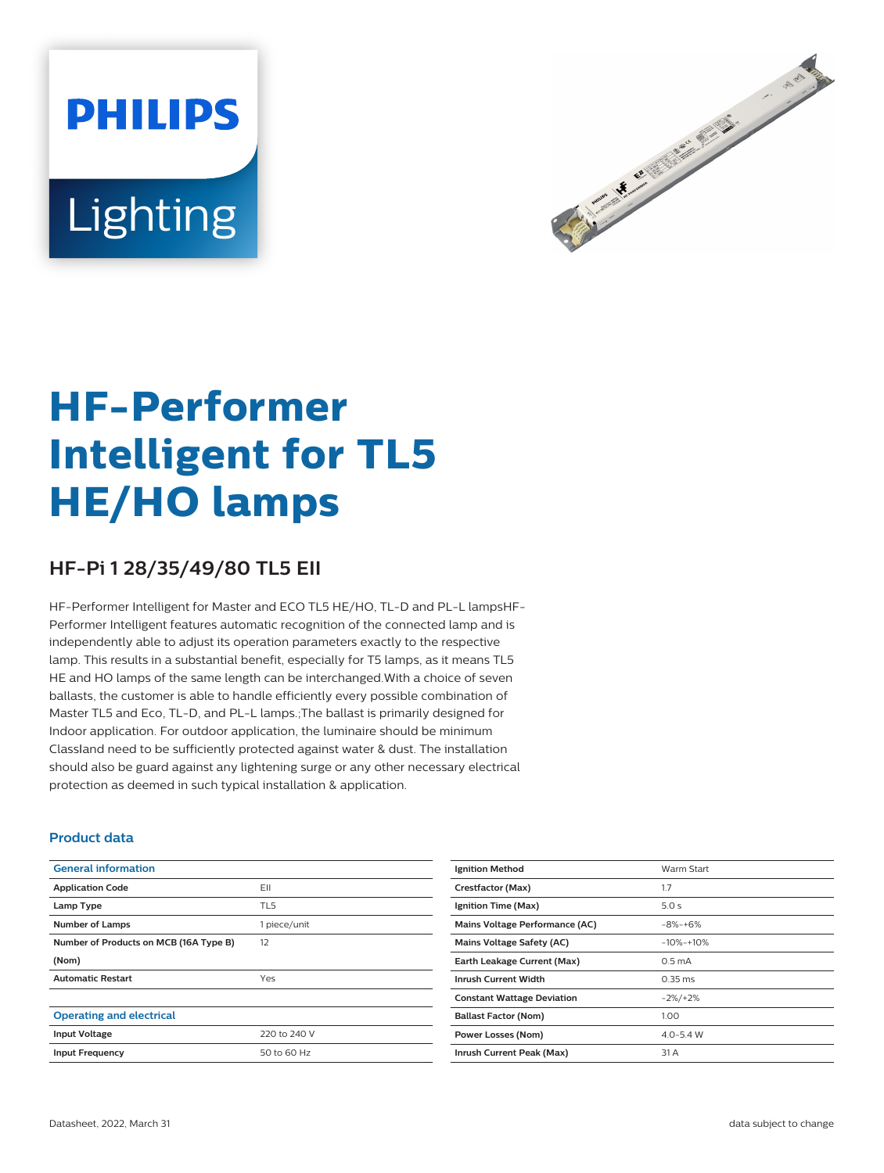# **PHILIPS** Lighting



# **HF-Performer Intelligent for TL5 HE/HO lamps**

# **HF-Pi 1 28/35/49/80 TL5 EII**

HF-Performer Intelligent for Master and ECO TL5 HE/HO, TL-D and PL-L lampsHF-Performer Intelligent features automatic recognition of the connected lamp and is independently able to adjust its operation parameters exactly to the respective lamp. This results in a substantial benefit, especially for T5 lamps, as it means TL5 HE and HO lamps of the same length can be interchanged.With a choice of seven ballasts, the customer is able to handle efficiently every possible combination of Master TL5 and Eco, TL-D, and PL-L lamps.;The ballast is primarily designed for Indoor application. For outdoor application, the luminaire should be minimum ClassⅠand need to be sufficiently protected against water & dust. The installation should also be guard against any lightening surge or any other necessary electrical protection as deemed in such typical installation & application.

### **Product data**

| <b>General information</b>             |              |
|----------------------------------------|--------------|
| <b>Application Code</b>                | EII          |
| Lamp Type                              | TL5          |
| <b>Number of Lamps</b>                 | 1 piece/unit |
| Number of Products on MCB (16A Type B) | 12           |
| (Nom)                                  |              |
| <b>Automatic Restart</b>               | Yes          |
|                                        |              |
| <b>Operating and electrical</b>        |              |
| <b>Input Voltage</b>                   | 220 to 240 V |
| <b>Input Frequency</b>                 | 50 to 60 Hz  |

| Warm Start          |
|---------------------|
| 1.7                 |
| 5.0 s               |
| $-8% + 6%$          |
| $-10% -10%$         |
| 0.5 <sub>m</sub> A  |
| $0.35 \, \text{ms}$ |
| $-2\%/+2\%$         |
| 1.00                |
| $4.0 - 5.4$ W       |
| 31 A                |
|                     |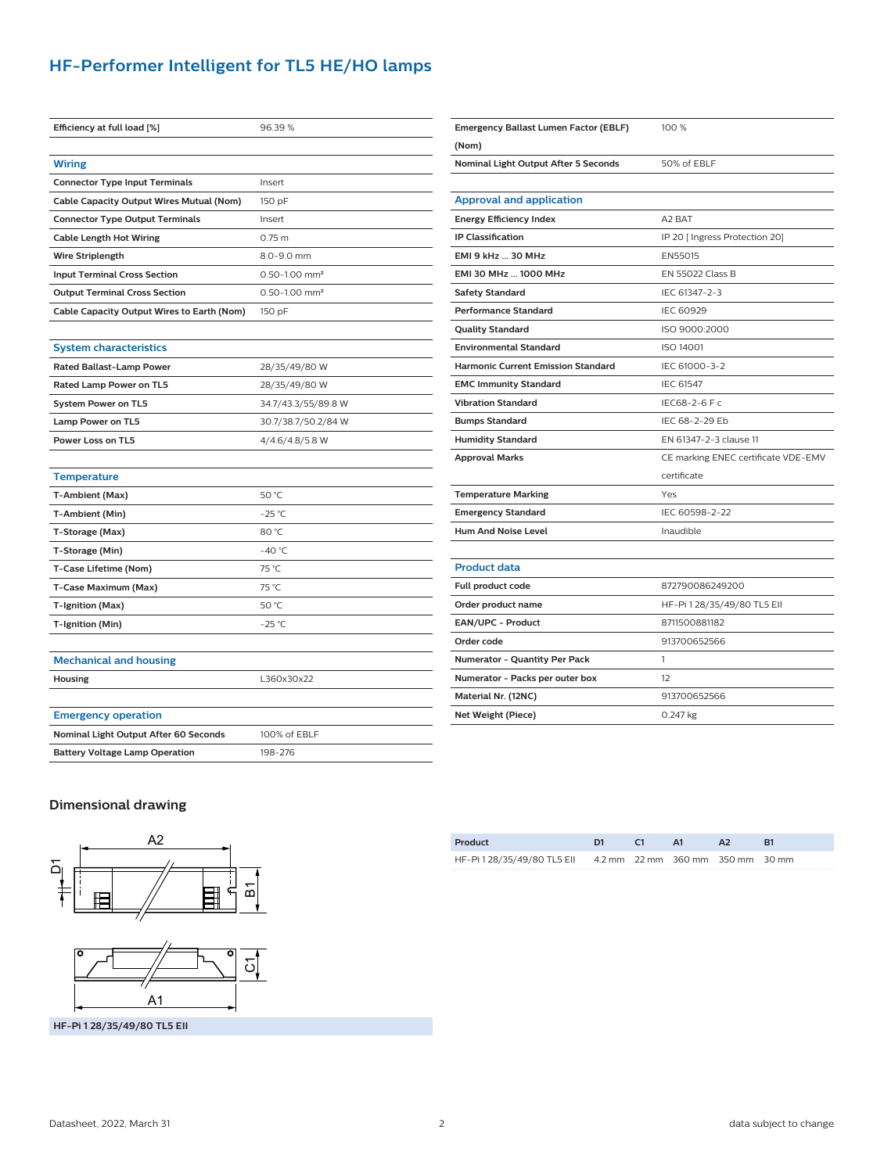# **HF-Performer Intelligent for TL5 HE/HO lamps**

| Efficiency at full load [%]                | 96.39%                        |
|--------------------------------------------|-------------------------------|
|                                            |                               |
| <b>Wiring</b>                              |                               |
| <b>Connector Type Input Terminals</b>      | Insert                        |
| Cable Capacity Output Wires Mutual (Nom)   | 150 pF                        |
| <b>Connector Type Output Terminals</b>     | Insert                        |
| <b>Cable Length Hot Wiring</b>             | 0.75 m                        |
| <b>Wire Striplength</b>                    | $8.0 - 9.0$ mm                |
| <b>Input Terminal Cross Section</b>        | $0.50 - 1.00$ mm <sup>2</sup> |
| <b>Output Terminal Cross Section</b>       | $0.50 - 1.00$ mm <sup>2</sup> |
| Cable Capacity Output Wires to Earth (Nom) | 150 pF                        |
|                                            |                               |
|                                            |                               |

#### **System characteristics**

| <b>Rated Ballast-Lamp Power</b> | 28/35/49/80 W       |
|---------------------------------|---------------------|
| Rated Lamp Power on TL5         | 28/35/49/80 W       |
| <b>System Power on TL5</b>      | 34.7/43.3/55/89.8 W |
| Lamp Power on TL5               | 30.7/38.7/50.2/84 W |
| Power Loss on TL5               | 4/4.6/4.8/5.8 W     |
|                                 |                     |

| <b>Temperature</b>    |                 |
|-----------------------|-----------------|
| T-Ambient (Max)       | 50 °C           |
| T-Ambient (Min)       | $-25$ °C        |
| T-Storage (Max)       | 80 °C           |
| T-Storage (Min)       | $-40^{\circ}$ C |
| T-Case Lifetime (Nom) | 75 °C           |
| T-Case Maximum (Max)  | 75 °C           |
| T-Ignition (Max)      | 50 °C           |
| T-Ignition (Min)      | $-25$ °C        |
|                       |                 |

## **Mechanical and housing**

| Housing | 360x30x22<br>. |
|---------|----------------|
|         |                |

| Nominal Light Output After 60 Seconds | 100% of EBLF |
|---------------------------------------|--------------|
| <b>Battery Voltage Lamp Operation</b> | 198-276      |

| Emergency Ballast Lumen Factor (EBLF)     | 100 %                               |  |  |
|-------------------------------------------|-------------------------------------|--|--|
| (Nom)                                     |                                     |  |  |
| Nominal Light Output After 5 Seconds      | 50% of EBLF                         |  |  |
|                                           |                                     |  |  |
| <b>Approval and application</b>           |                                     |  |  |
| <b>Energy Efficiency Index</b>            | A <sub>2</sub> BAT                  |  |  |
| <b>IP Classification</b>                  | IP 20 [ Ingress Protection 20]      |  |  |
| EMI 9 kHz  30 MHz                         | EN55015                             |  |  |
| EMI 30 MHz  1000 MHz                      | <b>EN 55022 Class B</b>             |  |  |
| <b>Safety Standard</b>                    | IEC 61347-2-3                       |  |  |
| <b>Performance Standard</b>               | <b>IEC 60929</b>                    |  |  |
| <b>Quality Standard</b>                   | ISO 9000:2000                       |  |  |
| <b>Environmental Standard</b>             | <b>ISO 14001</b>                    |  |  |
| <b>Harmonic Current Emission Standard</b> | IFC 61000-3-2                       |  |  |
| <b>EMC Immunity Standard</b>              | <b>IEC 61547</b>                    |  |  |
| <b>Vibration Standard</b>                 | IEC68-2-6 F c                       |  |  |
| <b>Bumps Standard</b>                     | IFC 68-2-29 Fb                      |  |  |
| <b>Humidity Standard</b>                  | EN 61347-2-3 clause 11              |  |  |
| <b>Approval Marks</b>                     | CE marking ENEC certificate VDE-EMV |  |  |
|                                           | certificate                         |  |  |
| <b>Temperature Marking</b>                | Yes                                 |  |  |
| <b>Emergency Standard</b>                 | IEC 60598-2-22                      |  |  |
| <b>Hum And Noise Level</b>                | Inaudible                           |  |  |
|                                           |                                     |  |  |
| <b>Product data</b>                       |                                     |  |  |
| Full product code                         | 872790086249200                     |  |  |
| Order product name                        | HF-Pi 1 28/35/49/80 TL5 Ell         |  |  |
| EAN/UPC - Product                         | 8711500881182                       |  |  |
| Order code                                | 913700652566                        |  |  |
| Numerator - Quantity Per Pack             | 1                                   |  |  |
| Numerator - Packs per outer box           | 12                                  |  |  |

#### **Dimensional drawing**





**HF-Pi 1 28/35/49/80 TL5 EII**

| Product                                                      |  | Δ1 |  |
|--------------------------------------------------------------|--|----|--|
| HF-Pi 1 28/35/49/80 TL5 Ell 4.2 mm 22 mm 360 mm 350 mm 30 mm |  |    |  |

**Material Nr. (12NC)** 913700652566 **Net Weight (Piece)** 0.247 kg